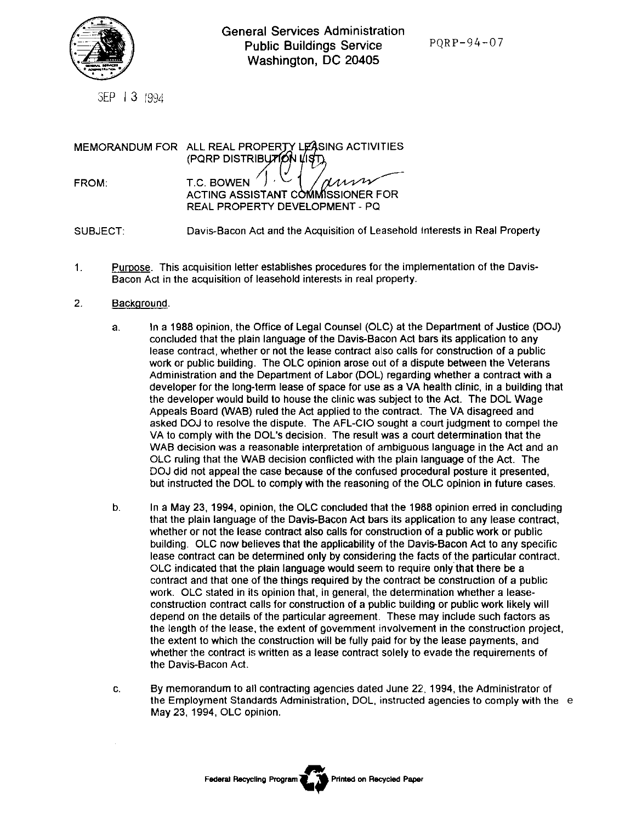

SEP 13 1994

|       | MEMORANDUM FOR ALL REAL PROPERTY LEASING ACTIVITIES<br>(PQRP DISTRIBUTION UIST)                                         |
|-------|-------------------------------------------------------------------------------------------------------------------------|
| FROM. | T.C. BOWEN $\left\{\begin{matrix} 1 & 1 \\ 1 & 1 \end{matrix}\right\}$ ( <i>LAMAY</i><br>REAL PROPERTY DEVELOPMENT - PO |

SUBJECT: Davis-Bacon Act and the Acquisition of Leasehold Interests in Real Property

- 1. Purpose. This acquisition letter establishes procedures for the implementation of the Davis-Bacon Act in the acquisition of leasehold interests in real property.
- 2. Background.
	- a. In a 1988 opinion, the Office of Legal Counsel (OLC) at the Department of Justice (DOJ) concluded that the plain language of the Davis-Bacon Act bars its application to any lease contract, whether or not the lease contract also calls for construction of a public work or public building. The OLC opinion arose out of a dispute between the Veterans Administration and the Department of Labor (DOL) regarding whether a contract with a developer for the long-term lease of space for use as a VA health clinic, in a building that the developer would build to house the clinic was subject to the Act. The DOL Wage Appeals Board (WAB) ruled the Act applied to the contract. The VA disagreed and asked DOJ to resolve the dispute. The AFL-CIO sought a court judgment to compel the VA to comply with the DOL's decision. The result was a court determination that the WAB decision was a reasonable interpretation of ambiguous language in the Act and an OLC ruling that the WAB decision conflicted with the plain language of the Act. The DOJ did not appeal the case because of the confused procedural posture it presented, but instructed the DOL to comply with the reasoning of the OLC opinion in future cases.
	- b. In a May 23, 1994, opinion, the OLC concluded that the 1988 opinion erred in concluding that the plain language of the Davis-Bacon Act bars its application to any lease contract, whether or not the lease contract also calls for construction of a public work or public building. OLC now believes that the applicability of the Davis-Bacon Act to any specific lease contract can be determined only by considering the facts of the particular contract. OLC indicated that the plain language would seem to require only that there be a contract and that one of the things required by the contract be construction of a public work. OLC stated in its opinion that, in general, the determination whether a leaseconstruction contract calls for construction of a public building or public work likely will depend on the details of the particular agreement. These may include such factors as the length of the lease, the extent of government involvement in the construction project, the extent to which the construction will be fully paid for by the lease payments, and whether the contract is written as a lease contract solely to evade the requirements of the Davis-Bacon Act.
	- c. By memorandum to all contracting agencies dated June 22, 1994, the Administrator of the Employment Standards Administration, DOL, instructed agencies to comply with the May 23, 1994, OLC opinion.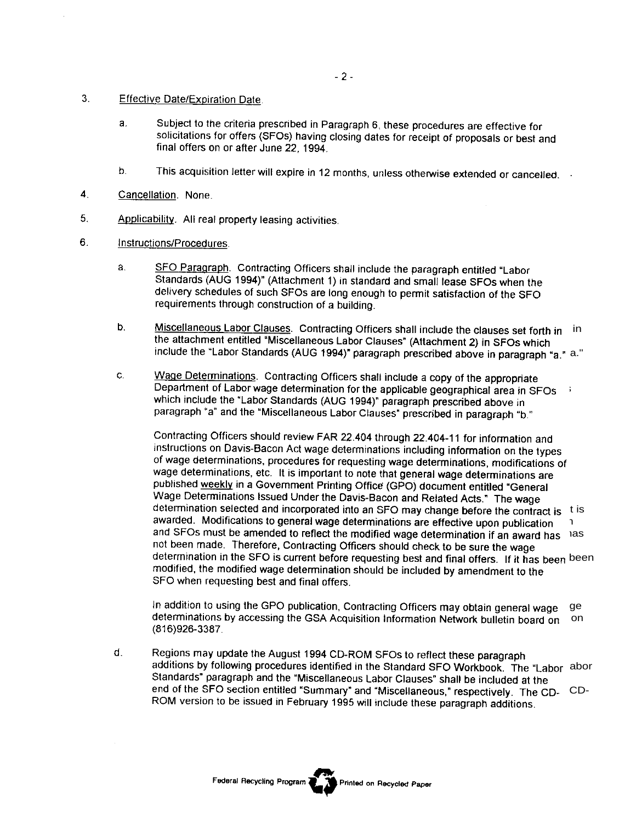# 3. Effective Date/Expiration Date.

- a, Subject to the criteria prescribed in Paragraph 6, these procedures are effective for solicitations for offers (SFOs) having closing dates for receipt of proposals or best and final offers on or after June 22, 1994.
- b. This acquisition letter will expire in 12 months, unless otherwise extended or cancelled.
- 4. Cancellation. None.
- 5. Applicability. All real property leasing activities.
- 6. Instructions/Procedures.
	- a. SFO Paragraph. Contracting Officers shall include the paragraph entitled "Labor Standards (AUG 1994)" (Attachment 1) in standard and small lease SFOs when the delivery schedules of such SFOs are long enough to permit satisfaction of the SFO requirements through construction of a building.
	- b. Miscellaneous Labor Clauses. Contracting Officers shall include the clauses set forth in in the attachment entitled "Miscellaneous Labor Clauses" (Attachment 2) in SFOs which include the "Labor Standards (AUG 1994)" paragraph prescribed above in paragraph "a."
	- c. Wage Determinations. Contracting Officers shall include a copy of the appropriate Department of Labor wage determination for the applicable geographical area in SFOs which include the "Labor Standards (AUG 1994)" paragraph prescribed above in paragraph 'a" and the "Miscellaneous Labor Clauses" prescribed in paragraph "b."

Contracting Officers should review FAR 22.404 through 22.404-11 for information and instructions on Davis-Bacon Act wage determinations including information on the types of wage determinations, procedures for requesting wage determinations, modifications of wage determinations, etc. It is important to note that general wage determinations are published weekly in a Government Printing Office (GPO) document entitled "General Wage Determinations Issued Under the Davis-Bacon and Related Acts." The wage determination selected and incorporated into an SFO may change before the contract is the awarded. Modifications to general wage determinations are effective upon publication and SFOs must be amended to reflect the modified wage determination if an award has has not been made. Therefore, Contracting Officers should check to be sure the wage determination in the SFO is current before requesting best and final offers. If it has been been modified, the modified wage determination should be included by amendment to the SFO when requesting best and final offers.

In addition to using the GPO publication, Contracting Officers may obtain general wage ge determinations by accessing the GSA Acquisition Information Network bulletin board on on (816)926-3387.

d. Regions may update the August 1994 CD-ROM SFOs to reflect these paragraph additions by following procedures identified in the Standard SFO Workbook. The "Labor Standards" paragraph and the "Miscellaneous Labor Clauses" shall be included at the end of the SFO section entitled "Summary" and "Miscellaneous," respectively. The CD-ROM version to be issued in February 1995 will include these paragraph additions.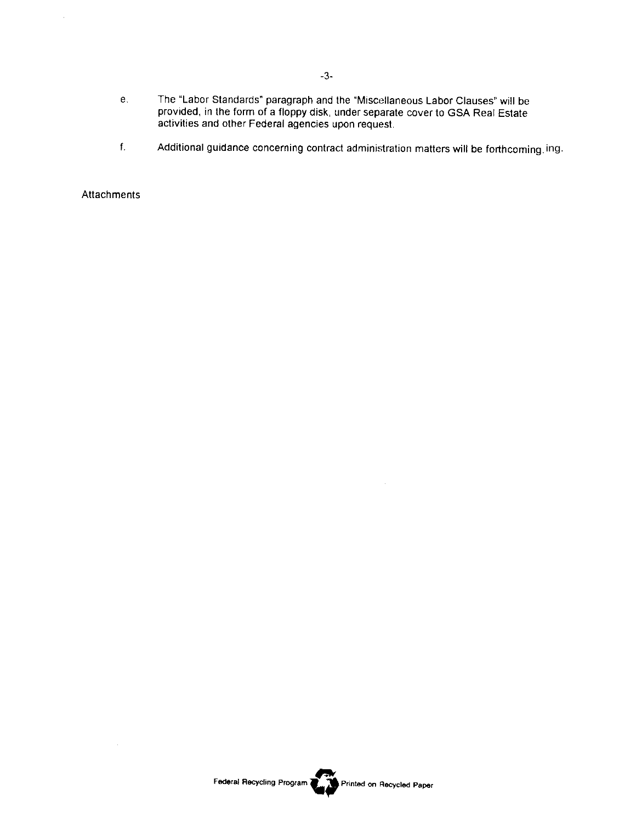- e. The "Labor Standards" paragraph and the "Miscellaneous Labor Clauses" will be provided, in the form of a floppy disk, under separate cover to GSA Real Estate activities and other Federal agencies upon request.
- f. Additional guidance concerning contract administration matters will be forthcoming.

## Attachments

 $\bar{z}$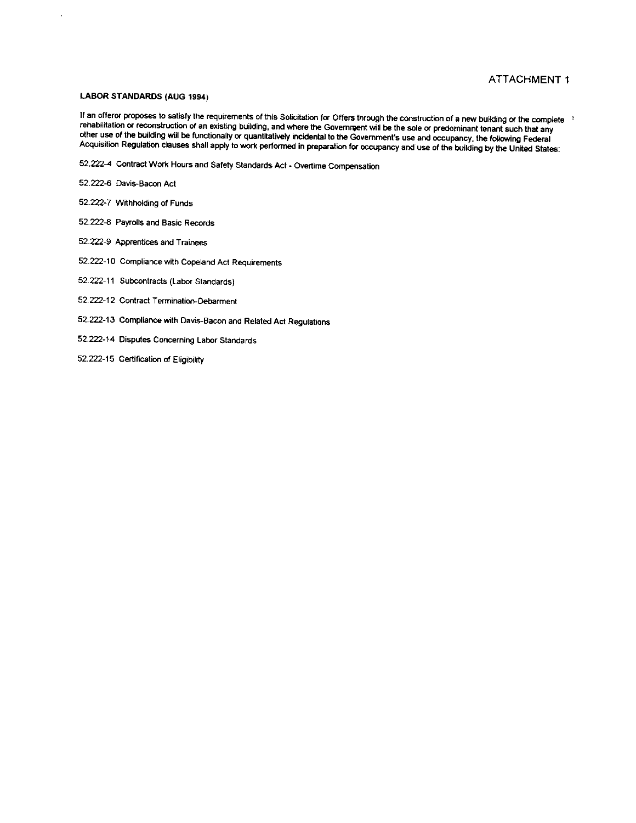## ATTACHMENT 1

#### **LABOR STANDARDS (AUG 1994)**

 $\ddot{\phantom{a}}$ 

If an offeror proposes to satisfy the requirements of this Solicitation for Offers through the construction of a new building or the complete rehabilitation or reconstruction of an existing building, and where the Government will be the sole or predominant tenant such that any other use of the building will be functionally or quantitatively incidental to the Government's use and occupancy, the following Federal Acquisition Regulation clauses shall apply to work performed in preparation for occupancy and use of the building by the United States:

52.222-4 Contract Work Hours and Safety Standards Act - Overtime Compensation

52.222-6 Davis-Bacon Act

- 52.222-7 Withholding of Funds
- 52.222-8 Payrolls and Basic Records
- 52.222-9 Apprentices and Trainees
- 52.222-10 Compliance with Copeland Act Requirements
- 52.222-11 Subcontracts (Labor Standards)
- 52.222-12 Contract Termination-Debarment
- 52.222-13 Compliance with Davis-Bacon and Related Act Regulations
- 52.222-14 Disputes Concerning Labor Standards
- 52.222-15 Certification of Eligibility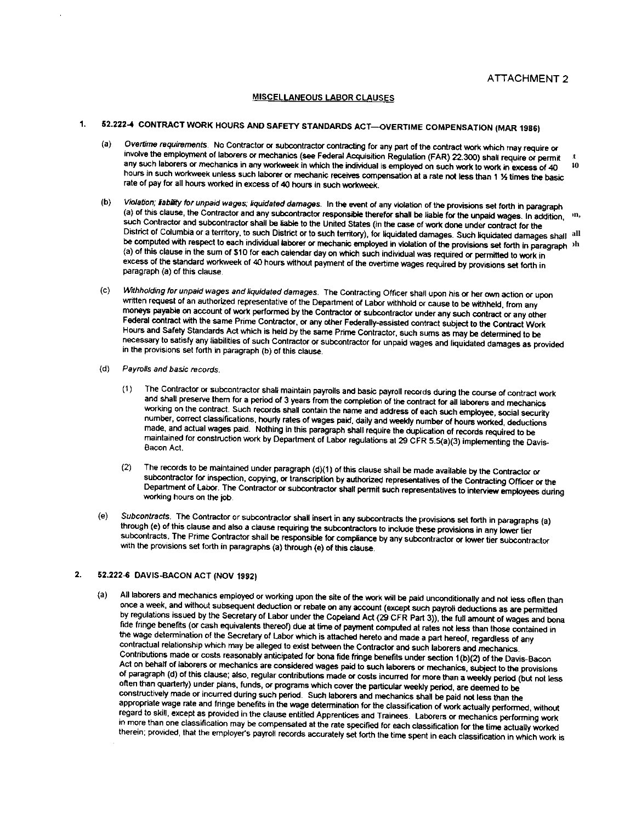#### **MISCELLANEOUS LABOR CLAUSES**

# 1. **52.222-4 CONTRACT WORK HOURS AND SAFETY STANDARDS ACT—OVERTIME COMPENSATION (MAR 1986)**

- **(a) Overtime requirements. No Contractor or subcontractor contracting for any part of the contract work which may require or involve the employment of laborers or mechanics (see Federal Acquisition Regulation (FAR) 22.300) shall require or permit any such laborers or mechanics in any workweek in which the individual is employed on such work to work in excess of 40** hours in such workweek unless such laborer or mechanic receives compensation at a rate not less than 1 1/<sub>2</sub> times the basic **rate of pay for all hours worked in excess of 40 hours in such workweek.**
- (b) **Violation; liability for unpaid wages; liquidated damages.** In the event of any **violation of the provisions set forth in paragraph (a) of this clause, the Contractor and any subcontractor responsible therefor shall be liable for the unpaid wages. In addition, such Contractor and subcontractor shall be liable to the United States (in the case of work done under contract for the** District of Columbia or a territory, to such District or to such territory), for liquidated damages. Such liquidated damages shall all **be computed with respect to each individual laborer or mechanic employed in violation of the provisions set forth in paragraph (a) of this clause in the sum of \$10 for each calendar day on which such individual was required or permitted to work in excess of the standard workweek** of 40 hours without payment of the overtime wages required by provisions set forth in paragraph (a) of this clause.
- (c) **Withholding for unpaid wages and liquidated damages.** The Contracting Officer shall upon his or her own action or upon written request of an authorized representative of the Department of Labor withhold or cause to be withheld, from any moneys payable on account of work performed by the Contractor or subcontractor under any such contract or any other Federal contract with the same Prime Contractor, or any other Federally-assisted contract subject to the Contract Work Hours and Safety Standards Act which is held by the same Prime Contractor, such sums as may be determined to be necessary to satisfy any liabilities of such Contractor or subcontractor for unpaid wages and liquidated damages as provided in the provisions set forth in paragraph (b) of this clause.
- (d) **Payrolls and basic records.**
	- (1) The Contractor or subcontractor shall maintain payrolls and basic payroll records during the course of contract work and shall preserve them for a period of 3 years from the completion of the contract for all laborers and mechanics working on the contract. Such records shall contain the name and address of each such employee, social security number, correct classifications, hourly rates of wages paid, daily and weekly number of hours worked, deductions made, and actual wages paid. Nothing in this paragraph shall require the duplication of records required to be maintained for construction work by Department of Labor regulations at 29 CFR 5.5(a)(3) implementing the Davis-Bacon Act.
	- (2) The records to be maintained under paragraph (d)(1) of this clause shall be made available by the Contractor or subcontractor for inspection, copying, or transcription by authorized representatives of the Contracting Officer or the Department of Labor. The Contractor or subcontractor shall permit such representatives to interview employees during working hours on the job.
- (e) **Subcontracts.** The Contractor or subcontractor shall insert in any subcontracts the provisions set forth in paragraphs (a) through (e) of this clause and also a clause requiring the subcontractors to include these provisions in any lower tier subcontracts. The Prime Contractor shall be responsible for compliance by any subcontractor or lower tier subcontractor with the provisions set forth in paragraphs (a) through (e) of this clause.

#### **2. 52.222-6 DAVIS-BACON ACT (NOV 1992)**

**(a) All laborers and mechanics employed or working upon the site of the work will be paid unconditionally and not less often than once a week, and without subsequent deduction or rebate on any account (except such payroll deductions as are permitted by regulations issued by the Secretary of Labor under the Copeland Act (29 CFR Part 3)), the full amount of wages and bona fide fringe benefits (or cash equivalents thereof) due at time of payment computed at rates not less than those contained in the wage determination of the Secretary of Labor which is attached hereto and made a part hereof, regardless of any contractual relationship which may be alleged to exist between the Contractor and such laborers and mechanics. Contributions made or costs reasonably anticipated for bona tide fringe benefits under section** 1(b)(2) of **the Davis-Bacon Act on behalf of laborers or mechanics are considered wages paid to such laborers or mechanics, subject to the provisions of paragraph (d) of this clause; also, regular contributions made or costs incurred for more than a weekly period (but not less often than quarterly) under plans, funds, or programs which cover the particular weekly period, are deemed to be constructively made or incurred during such period. Such laborers and mechanics shall be paid not less than the appropriate wage rate and fringe benefits in the wage determination for the classification of work actually performed, without regard to skill, except as provided in the clause entitled Apprentices and Trainees. Laborers or mechanics performing work in more than one classification may be compensated at the rate specified for each classification for the time actually worked** therein; provided, that the employers payroll records accurately set forth the time spent in each classification in which work is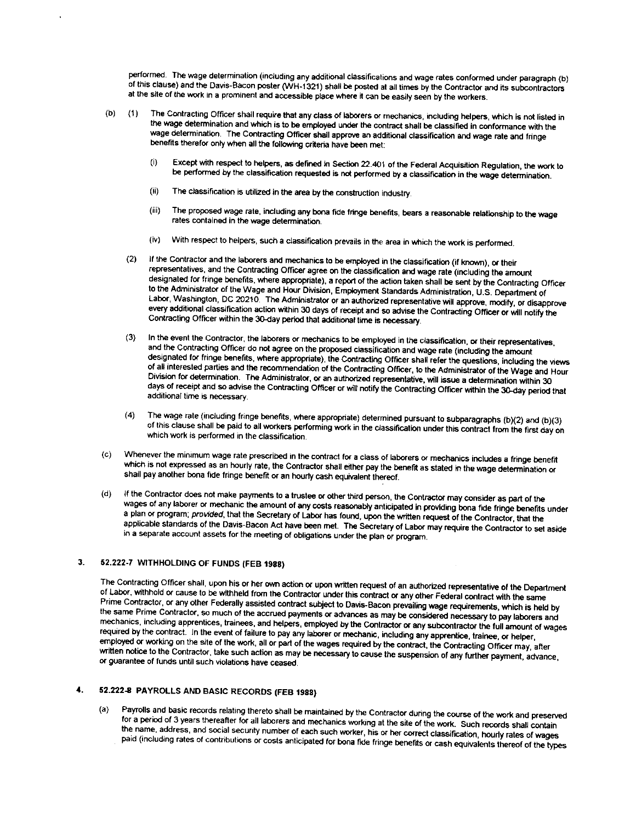performed. The wage determination (including any additional classifications and wage rates conformed under paragraph (b) of this clause) and the Davis-Bacon poster (WH-1321) shall be posted at all times by the Contractor and its subcontractors at the site of the work in a prominent and accessible place where it can be easily seen by the workers.

- (b) (1) The Contracting Officer shall require that any class of laborers or mechanics, including helpers, which is not listed in the wage determination and which is to be employed under the contract shall be classified in conformance with the wage determination. The Contracting Officer shall approve an additional classification and wage rate and fringe benefits therefor only when all the following criteria have been met:
	- (i) Except with respect to helpers, as defined in Section 22.401 of the Federal Acquisition Regulation, the work to be performed by the classification requested is not performed by a classification in the wage determination.
	- (ii) The classification is utilized in the area by the construction industry.
	- (iii) The proposed wage rate, including any bona fide fringe benefits, bears a reasonable relationship to the wage rates contained in the wage determination.
	- (iv) With respect to helpers, such a classification prevails in the area in which the work is performed.
	- (2) If the Contractor and the laborers and mechanics to be employed in the classification (if known), or their representatives, and the Contracting Officer agree on the classification and wage rate (including the amount designated for fringe benefits, where appropriate), a report of the action taken shall be sent by the Contracting Officer to the Administrator of the Wage and Hour Division, Employment Standards Administration, U.S. Department of Labor, Washington, DC 20210. The Administrator or an authorized representative will approve, modify, or disapprove every additional classification action within 30 days of receipt and so advise the Contracting Officer or will notify the Contracting Officer within the 30-day period that additional time is necessary.
	- (3) In the event the Contractor, the laborers or mechanics to be employed in the classification, or their representatives, and the Contracting Officer do not agree on the proposed classification and wage rate (including the amount designated for fringe benefits, where appropriate), the Contracting Officer shall refer the questions, including the views of all interested parties and the recommendation of the Contracting Officer, to the Administrator of the Wage and Hour Division for determination. The Administrator, or an authorized representative, will issue a determination within 30 days of receipt and so advise the Contracting Officer or will notify the Contracting Officer within the 30-day period that additional time is necessary.
	- (4) The wage rate (including fringe benefits, where appropriate) determined pursuant to subparagraphs (b)(2) and (b)(3) of this clause shall be paid to all workers performing work in the classification under this contract from the first day on which work is performed in the classification.
- (c) Whenever the minimum wage rate prescribed in the contract for a class of laborers or mechanics includes a fringe benefit which is not expressed as an hourly rate, the Contractor shall either pay the benefit as stated in the wage determination or shall pay another bona fide fringe benefit or an hourly cash equivalent thereof.
- (d) If the Contractor does not make payments to a trustee or other third person, the Contractor may consider as part of the wages of any laborer or mechanic the amount of any costs reasonably anticipated in providing bona fide fringe benefits under a plan or program; provided, that the Secretary of Labor has found, upon the written request of the Contractor, that the applicable standards of the Davis-Bacon Act have been met. The Secretary of Labor may require the Contractor to set aside in a separate account assets for the meeting of obligations under the plan or program.

## **3. 52.222-7 WITHHOLDING OF FUNDS (FEB 1988)**

The Contracting Officer shall, upon his or her own action or upon written request of an authorized representative of the Department of Labor, withhold or cause to be withheld from the Contractor under this contract or any other Federal contract with the same Prime Contractor, or any other Federally assisted contract subject to Davis-Bacon prevailing wage requirements, which is held by the same Prime Contractor, so much of the accrued payments or advances as may be considered necessary to pay laborers and mechanics, including apprentices, trainees, and helpers, employed by the Contractor or any subcontractor the full amount of wages required by the contract. In the event of failure to pay any laborer or mechanic, including any apprentice, trainee, or helper, employed or working on the site of the work, all or part of the wages required by the contract, the Contracting Officer may, after written notice to the Contractor, take such action as may be necessary to cause the suspension of any further payment, advance, or guarantee of funds until such violations have ceased.

## **4. 52.222-8 PAYROLLS AND BASIC RECORDS (FEB 1988)**

(a) Payrolls and basic records relating thereto shall be maintained by the Contractor during the course of the work and preserved for a period of 3 years thereafter for all laborers and mechanics working at the site of the work. Such records shall contain the name, address, and social security number of each such worker, his or her correct classification, hourly rates of wages paid (including rates of contributions or costs anticipated for bona fide fringe benefits or cash equivalents thereof of the types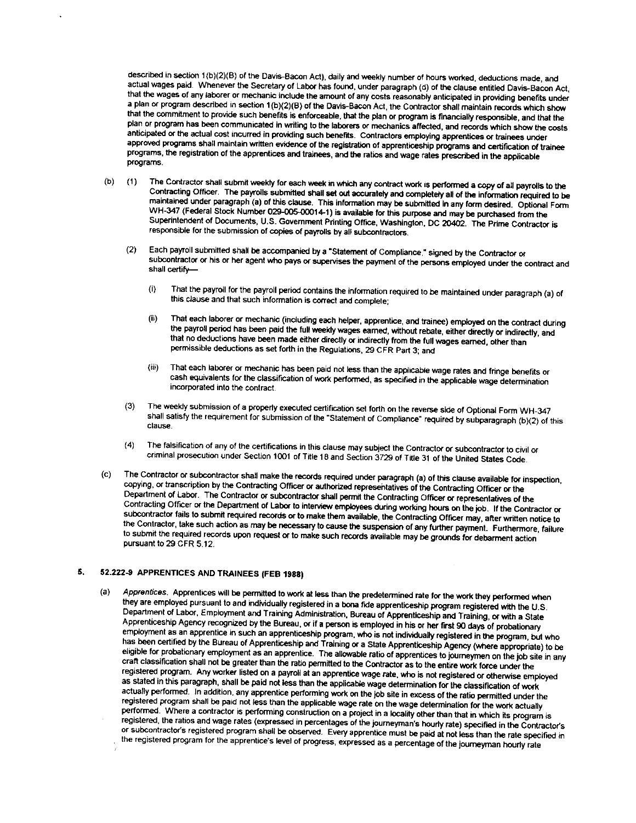described in section 1(b)(2)(B) of the Davis-Bacon Act), daily and weekly number of hours worked, deductions made, and actual wages paid. Whenever the Secretary of Labor has found, under paragraph (d) of the clause entitled Davis-Bacon Act, that the wages of any laborer or mechanic include the amount of any costs reasonably anticipated in providing benefits under a plan or program described in section 1(b)(2)(B) of the Davis-Bacon Act, the Contractor shall maintain records which show that the commitment to provide such benefits is enforceable, that the plan or program is financially responsible, and that the plan or program has been communicated in writing to the laborers or mechanics affected, and records which show the costs anticipated or the actual cost incurred in providing such benefits. Contractors employing apprentices or trainees under approved programs shall maintain written evidence of the registration of apprenticeship programs and certification of trainee programs, the registration of the apprentices and trainees, and the ratios and wage rates prescribed in the applicable programs.

- (b) (1) The Contractor shall submit weekly for each week in which any contract work is performed a copy of all payrolls to the Contracting Officer. The payrolls submitted shall set out accurately and completely all of the information required to be maintained under paragraph (a) of this clause. This information may be submitted in any form desired. Optional Form WH-347 (Federal Stock Number 029-005-00014-1) is available for this purpose and may be purchased from the Superintendent of Documents, U.S. Government Printing Office, Washington, DC 20402. The Prime Contractor is responsible for the submission of copies of payrolls by all subcontractors.
	- (2) Each payroll submitted shall be accompanied by a "Statement of Compliance," signed by the Contractor or subcontractor or his or her agent who pays or supervises the payment of the persons employed under the contract and shall certify-
		- (i) That the payroll for the payroll period contains the information required to be maintained under paragraph (a) of this clause and that such information is correct and complete;
		- (ii) That each laborer or mechanic (including each helper, apprentice, and trainee) employed on the contract during the payroll period has been paid the full weekly wages earned, without rebate, either directly or indirectly, and that no deductions have been made either directly or indirectly from the full wages earned, other than permissible deductions as set forth in the Regulations, 29 CFR Part 3; and
		- (iii) That each laborer or mechanic has been paid not less than the applicable wage rates and fringe benefits or cash equivalents for the classification of work performed, as specified in the applicable wage determination incorporated into the contract.
	- (3) The weekly submission of a properly executed certification set forth on the reverse side of Optional Form WH-347 shall satisfy the requirement for submission of the "Statement of Compliance" required by subparagraph (b)(2) of this clause.
	- (4) The falsification of any of the certifications in this clause may subject the Contractor or subcontractor to civil or criminal prosecution under Section 1001 of Title 18 and Section 3729 of Title 31 of the United States Code.
- (c) The Contractor or subcontractor shall make the records required under paragraph (a) of this clause available for inspection, copying, or transcription by the Contracting Officer or authorized **represeilatives** of the Contracting Officer or the Department of Labor. The Contractor or subcontractor shall permit the Contracting Officer or representatives of the Contracting Officer or the Department of Labor to interview employees during working hours on the job. If the Contractor or subcontractor fails to submit required records or to make them available, the Contracting Officer may, after written notice to **the** Contractor, take such action as may be necessary to cause the suspension of any further payment. Furthermore, failure to submit the required records upon request or to make such records available may be grounds for debarment action pursuant to 29 CFR 5.12.

## **5. 52.222-9 APPRENTICES AND TRAINEES (FED 1988)**

(a) **Apprentices.** Apprentices will be permitted to work at less than the predetermined rate for the work they performed when they are employed pursuant to and individually registered in a bona fide apprenticeship program registered with the U.S. Department of Labor, Employment and Training Administration, Bureau of Apprenticeship and Training, or with a State Apprenticeship Agency recognized by the Bureau, or if a person is employed in his or her first 90 days of probationary employment as an apprentice in such an apprenticeship program, who is not individually registered in the program, but who has **been** certified by the Bureau of Apprenticeship and Training or a State Apprenticeship Agency (where appropriate) to be eligible for probationary employment as an apprentice. The allowable ratio of apprentices to journeymen on the job site in any craft classification shall not be greater than the ratio permitted to the Contractor as to the entire work force under the registered program. Any worker listed on a payroll at an apprentice wage rate, who is not registered or otherwise employed as stated in this paragraph, shall be paid not less than the applicable wage determination for the classification of work actually performed. In addition, any apprentice performing work on the fob site in excess of the ratio permitted under the registered program shall be paid not less than the applicable wage rate on the wage determination for the work actually performed. Where a contractor is performing construction on a project in a locality other than that in which its program is registered, the ratios and wage rates (expressed in percentages of the journeyman's hourly rate) specified in the Contractor's or subcontractor's registered program shall be observed. Every apprentice must be paid at not less than the rate specified in the registered program for the apprentice's level of progress, expressed as a percentage of the journeyman hourly rate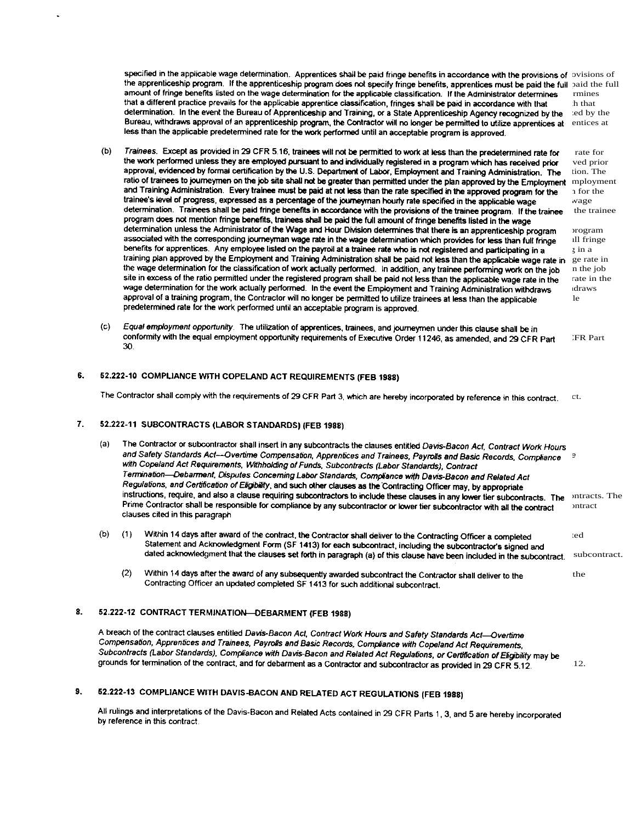specified in the applicable wage determination. Apprentices shall be paid fringe benefits in accordance with the provisions of ovisions of the apprenticeship program. If the apprenticeship program does not specify fringe benefits, apprentices must be paid the full paid the full amount of fringe benefits listed on the wage determination for the applicable classification. If the Administrator determines mines that a different practice prevails for the applicable apprentice classification, fringes shall be paid in accordance with that he that that that the distribution. In the event the Bureau of Apprenticeship and Training, or determination. In the event the Bureau of Apprenticeship and Training, or a State Apprenticeship Agency recognized by the Bureau, withdraws approval of an apprenticeship program, the Contractor will no longer be permitted to utilize apprentices at entices at less than the applicable predetermined rate for the work performed until an acceptable program is approved.

- (b) Trainees. Except as provided in 29 CFR 5.16, trainees wilt not be permitted to work at less than the predetermined rate for the work performed unless they are employed pursuant to and individually registered in a program which has received prior ved prior approval, evidenced by formal certification by the U.S. Department of Labor, Employment and Training Administration. The ratio of trainees to journeymen on the job site shall not be greater than permitted under the plan approved by the Employment mployment and Training Administration. Every trainee must be paid at not less than the rate specified in the approved program for the 1 for the trainee's level of progress, expressed as a percentage of the journeyman hourly rate specified in the applicable wage wage wage<br>determination. Trainees shall be paid fringe benefits in accordance with the provisions of the determination. Trainees shall be paid fringe benefits in accordance with the provisions of the trainee program. If the trainee program does not mention fringe benefits, trainees shall be paid the full amount of fringe benefits listed in the wage determination unless the Administrator of the Wage and Hour Division determines that there is an apprenticeship program program associated with the corresponding journeyman wage rate in the wage determination which provides for less than full fringe lill fringe benefits for apprentices. Any employee listed on the payroll at a trainee rate who is not registered and participating in a<br>training plan approved by the Employment and Training Administration shall be paid not less than t training plan approved by the Employment and Training Administration shall be paid not less than the applicable wage rate in the wage determination for the classification of work actually performed. In addition, any trainee performing work on the job n the job site in excess of the ratio permitted under the registered program shall be paid not less than the applicable wage rate in the rate in the wage determination for the work actually performed. In the event the Employment and Training Administration withdraws draws approval of a training program, the Contractor will no longer be permitted to utilize trainees at less than the applicable predetermined rate for the work performed until an acceptable program is approved.
- (c) Equal employment opportunity. The utilization of apprentices, trainees, and journeymen under this clause shall be in conformity with the equal employment opportunity requirements of Executive Order 11246, as amended, and 29 CFR Part 30.

## **6. 52.222-10 COMPLIANCE WITH COPELAND ACT REQUIREMENTS (FEB 1988)**

The Contractor shall comply with the requirements of 29 CFR Part 3, which are hereby incorporated by reference in this contract.

## **7. 52.222-11 SUBCONTRACTS (LABOR STANDARDS) (FEB 1988)**

- (a) The Contractor or subcontractor shall insert in any subcontracts the clauses entitled Davis-Bacon Act, Contract Work Hours and Safety Standards Act—Overtime Compensation, Apprentices and Trainees, Payrolls and Basic Records, Compliance e with Copeland Act Requirements, Withholding of Funds, Subcontracts (Labor Standards), Contract Termination—Debarment, Disputes Concerning Labor Standards, Compliance with Davis-Bacon and Related Act Regulations, and Certification of Eligibility, and such other clauses as the Contracting Officer may, by appropriate instructions, require, and also a clause requiring subcontractors to include these clauses in any lower tier subcontracts. The nutracts. The Prime Contractor shall be responsible for compliance by any subcontractor or lower tier subcontractor with all the contract primact clauses cited in this paragraph
- (b) (1) Within 14 days after award of the contract, the Contractor shall deliver to the Contracting Officer a completed Statement and Acknowledgment Form (SF 1413) for each subcontract, including the subcontractor's signed and dated acknowledgment that the clauses set forth in paragraph (a) of this clause have been included in the subcontract.
	- (2) Within 14 days after the award of any subsequently awarded subcontract the Contractor shall deliver to the Contracting Officer an updated completed SF 1413 for such additional subcontract.

## **8. 52.222-12 CONTRACT TERMINATION—DEBARMENT (FEB 1988)**

A breach of the contract clauses entitled Davis-Bacon Act, Contract Work Hours and Safety Standards Act—Overtime Compensation, Apprentices and Trainees, Payrolls and Basic Records, Compliance with Copeland Act Requirements, Subcontracts (Labor Standards), Compliance with Davis-Bacon and Related Act Regulations, or Certification of Efigibility may be grounds for termination of the contract, and for debarment as a Contractor and subcontractor as provided in 29 CFR 5.12. 12.

# **9. 52.222-13 COMPLIANCE WITH DAVIS-BACON AND RELATED ACT REGULATIONS (FEB 1988)**

All rulings and interpretations of the Davis-Bacon and Related Acts contained in 29 CFR Parts 1, 3, and 5 are hereby incorporated by reference in this contract